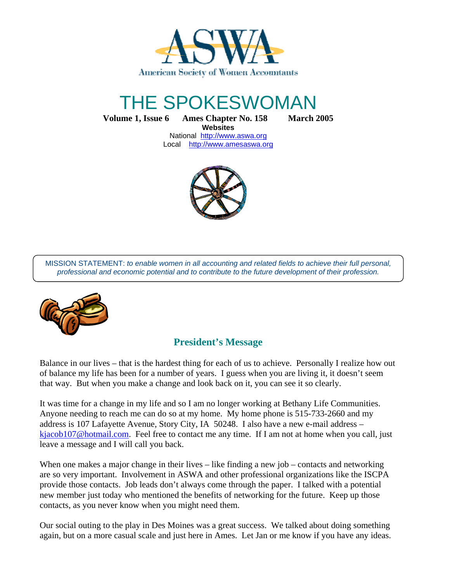

# THE SPOKESWOMAN

**Volume 1, Issue 6 Ames Chapter No. 158 March 2005**

**Websites**  National http://www.aswa.org Local http://www.amesaswa.org



MISSION STATEMENT: to enable women in all accounting and related fields to achieve their full personal, professional and economic potential and to contribute to the future development of their profession.



# **President's Message**

Balance in our lives – that is the hardest thing for each of us to achieve. Personally I realize how out of balance my life has been for a number of years. I guess when you are living it, it doesn't seem that way. But when you make a change and look back on it, you can see it so clearly.

It was time for a change in my life and so I am no longer working at Bethany Life Communities. Anyone needing to reach me can do so at my home. My home phone is 515-733-2660 and my address is 107 Lafayette Avenue, Story City, IA 50248. I also have a new e-mail address – kjacob107@hotmail.com. Feel free to contact me any time. If I am not at home when you call, just leave a message and I will call you back.

When one makes a major change in their lives – like finding a new job – contacts and networking are so very important. Involvement in ASWA and other professional organizations like the ISCPA provide those contacts. Job leads don't always come through the paper. I talked with a potential new member just today who mentioned the benefits of networking for the future. Keep up those contacts, as you never know when you might need them.

Our social outing to the play in Des Moines was a great success. We talked about doing something again, but on a more casual scale and just here in Ames. Let Jan or me know if you have any ideas.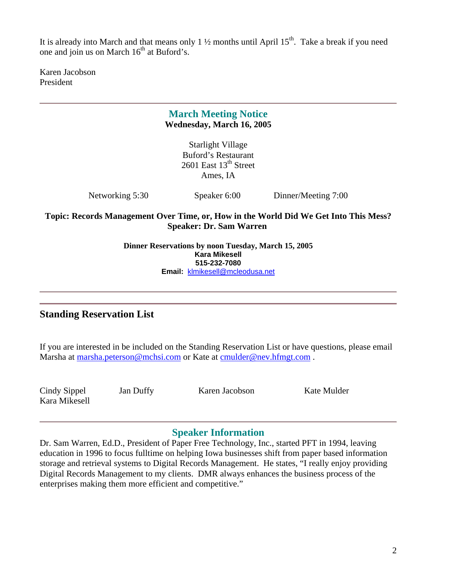It is already into March and that means only 1  $\frac{1}{2}$  months until April 15<sup>th</sup>. Take a break if you need one and join us on March  $16<sup>th</sup>$  at Buford's.

Karen Jacobson President

# **March Meeting Notice Wednesday, March 16, 2005**

Starlight Village Buford's Restaurant 2601 East  $13<sup>th</sup>$  Street Ames, IA

Networking 5:30 Speaker 6:00 Dinner/Meeting 7:00

**Topic: Records Management Over Time, or, How in the World Did We Get Into This Mess? Speaker: Dr. Sam Warren** 

> **Dinner Reservations by noon Tuesday, March 15, 2005 Kara Mikesell 515-232-7080 Email:** klmikesell@mcleodusa.net

# **Standing Reservation List**

If you are interested in be included on the Standing Reservation List or have questions, please email Marsha at marsha.peterson@mchsi.com or Kate at cmulder@nev.hfmgt.com .

Kara Mikesell

Cindy Sippel Jan Duffy Karen Jacobson Kate Mulder

# **Speaker Information**

Dr. Sam Warren, Ed.D., President of Paper Free Technology, Inc., started PFT in 1994, leaving education in 1996 to focus fulltime on helping Iowa businesses shift from paper based information storage and retrieval systems to Digital Records Management. He states, "I really enjoy providing Digital Records Management to my clients. DMR always enhances the business process of the enterprises making them more efficient and competitive."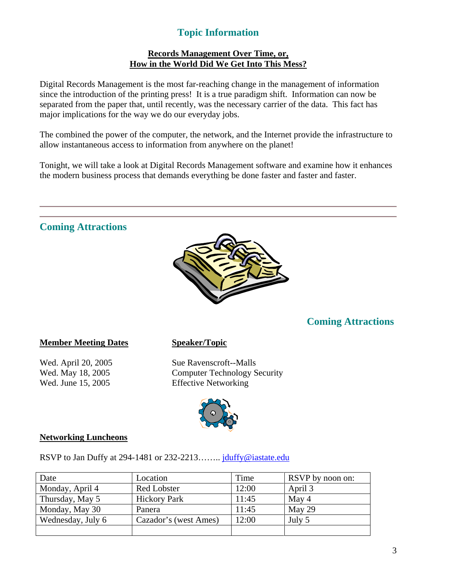# **Topic Information**

#### **Records Management Over Time, or, How in the World Did We Get Into This Mess?**

Digital Records Management is the most far-reaching change in the management of information since the introduction of the printing press! It is a true paradigm shift. Information can now be separated from the paper that, until recently, was the necessary carrier of the data. This fact has major implications for the way we do our everyday jobs.

The combined the power of the computer, the network, and the Internet provide the infrastructure to allow instantaneous access to information from anywhere on the planet!

Tonight, we will take a look at Digital Records Management software and examine how it enhances the modern business process that demands everything be done faster and faster and faster.

# **Coming Attractions**



# **Coming Attractions**

#### **Member Meeting Dates Speaker/Topic**

Wed. April 20, 2005 Sue Ravenscroft--Malls Wed. May 18, 2005 Computer Technology Security Wed. June 15, 2005 Effective Networking



#### **Networking Luncheons**

RSVP to Jan Duffy at 294-1481 or 232-2213…….. jduffy@iastate.edu

| Date              | Location              | Time  | RSVP by noon on: |
|-------------------|-----------------------|-------|------------------|
| Monday, April 4   | <b>Red Lobster</b>    | 12:00 | April 3          |
| Thursday, May 5   | <b>Hickory Park</b>   | 11:45 | May 4            |
| Monday, May 30    | Panera                | 11:45 | May 29           |
| Wednesday, July 6 | Cazador's (west Ames) | 12:00 | July 5           |
|                   |                       |       |                  |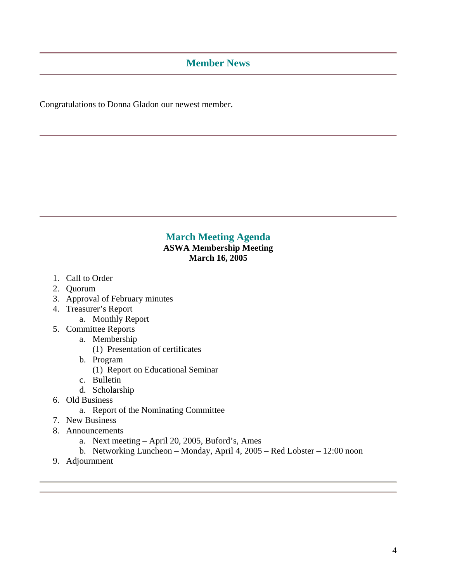#### **Member News**

Congratulations to Donna Gladon our newest member.

#### **March Meeting Agenda ASWA Membership Meeting March 16, 2005**

- 1. Call to Order
- 2. Quorum
- 3. Approval of February minutes
- 4. Treasurer's Report
	- a. Monthly Report
- 5. Committee Reports
	- a. Membership
		- (1) Presentation of certificates
	- b. Program
		- (1) Report on Educational Seminar
	- c. Bulletin
	- d. Scholarship
- 6. Old Business
	- a. Report of the Nominating Committee
- 7. New Business
- 8. Announcements
	- a. Next meeting April 20, 2005, Buford's, Ames
	- b. Networking Luncheon Monday, April 4, 2005 Red Lobster 12:00 noon
- 9. Adjournment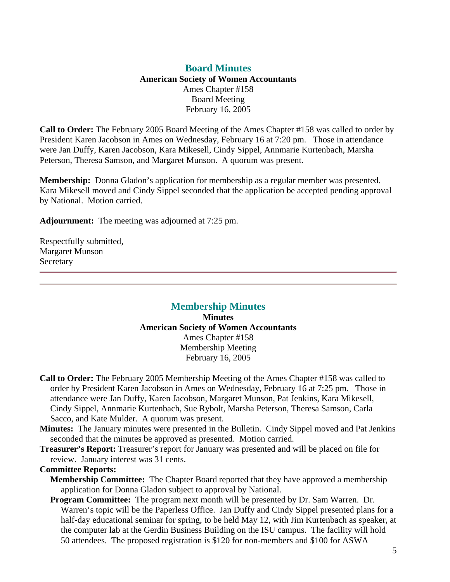#### **Board Minutes American Society of Women Accountants**  Ames Chapter #158 Board Meeting February 16, 2005

**Call to Order:** The February 2005 Board Meeting of the Ames Chapter #158 was called to order by President Karen Jacobson in Ames on Wednesday, February 16 at 7:20 pm. Those in attendance were Jan Duffy, Karen Jacobson, Kara Mikesell, Cindy Sippel, Annmarie Kurtenbach, Marsha Peterson, Theresa Samson, and Margaret Munson. A quorum was present.

**Membership:** Donna Gladon's application for membership as a regular member was presented. Kara Mikesell moved and Cindy Sippel seconded that the application be accepted pending approval by National. Motion carried.

**Adjournment:** The meeting was adjourned at 7:25 pm.

Respectfully submitted, Margaret Munson Secretary

#### **Membership Minutes Minutes American Society of Women Accountants**  Ames Chapter #158 Membership Meeting February 16, 2005

- **Call to Order:** The February 2005 Membership Meeting of the Ames Chapter #158 was called to order by President Karen Jacobson in Ames on Wednesday, February 16 at 7:25 pm. Those in attendance were Jan Duffy, Karen Jacobson, Margaret Munson, Pat Jenkins, Kara Mikesell, Cindy Sippel, Annmarie Kurtenbach, Sue Rybolt, Marsha Peterson, Theresa Samson, Carla Sacco, and Kate Mulder. A quorum was present.
- **Minutes:** The January minutes were presented in the Bulletin. Cindy Sippel moved and Pat Jenkins seconded that the minutes be approved as presented. Motion carried.
- **Treasurer's Report:** Treasurer's report for January was presented and will be placed on file for review. January interest was 31 cents.

#### **Committee Reports:**

- **Membership Committee:** The Chapter Board reported that they have approved a membership application for Donna Gladon subject to approval by National.
- **Program Committee:** The program next month will be presented by Dr. Sam Warren. Dr. Warren's topic will be the Paperless Office. Jan Duffy and Cindy Sippel presented plans for a half-day educational seminar for spring, to be held May 12, with Jim Kurtenbach as speaker, at the computer lab at the Gerdin Business Building on the ISU campus. The facility will hold 50 attendees. The proposed registration is \$120 for non-members and \$100 for ASWA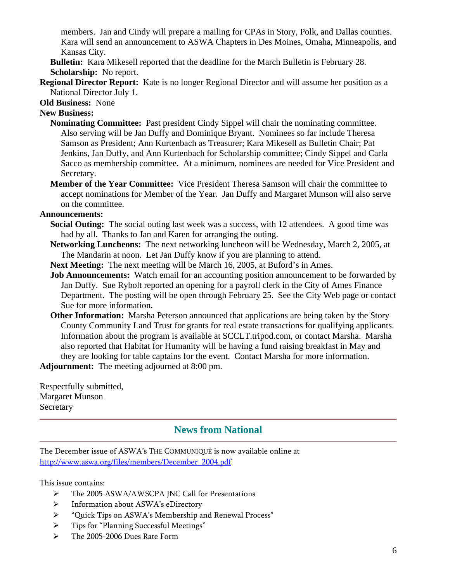members. Jan and Cindy will prepare a mailing for CPAs in Story, Polk, and Dallas counties. Kara will send an announcement to ASWA Chapters in Des Moines, Omaha, Minneapolis, and Kansas City.

**Bulletin:** Kara Mikesell reported that the deadline for the March Bulletin is February 28. **Scholarship:** No report.

**Regional Director Report:** Kate is no longer Regional Director and will assume her position as a National Director July 1.

**Old Business:** None

#### **New Business:**

- **Nominating Committee:** Past president Cindy Sippel will chair the nominating committee. Also serving will be Jan Duffy and Dominique Bryant. Nominees so far include Theresa Samson as President; Ann Kurtenbach as Treasurer; Kara Mikesell as Bulletin Chair; Pat Jenkins, Jan Duffy, and Ann Kurtenbach for Scholarship committee; Cindy Sippel and Carla Sacco as membership committee. At a minimum, nominees are needed for Vice President and Secretary.
- **Member of the Year Committee:** Vice President Theresa Samson will chair the committee to accept nominations for Member of the Year. Jan Duffy and Margaret Munson will also serve on the committee.

#### **Announcements:**

- **Social Outing:** The social outing last week was a success, with 12 attendees. A good time was had by all. Thanks to Jan and Karen for arranging the outing.
- **Networking Luncheons:** The next networking luncheon will be Wednesday, March 2, 2005, at The Mandarin at noon. Let Jan Duffy know if you are planning to attend.
- **Next Meeting:** The next meeting will be March 16, 2005, at Buford's in Ames.
- **Job Announcements:** Watch email for an accounting position announcement to be forwarded by Jan Duffy. Sue Rybolt reported an opening for a payroll clerk in the City of Ames Finance Department. The posting will be open through February 25. See the City Web page or contact Sue for more information.
- **Other Information:** Marsha Peterson announced that applications are being taken by the Story County Community Land Trust for grants for real estate transactions for qualifying applicants. Information about the program is available at SCCLT.tripod.com, or contact Marsha. Marsha also reported that Habitat for Humanity will be having a fund raising breakfast in May and they are looking for table captains for the event. Contact Marsha for more information.

**Adjournment:** The meeting adjourned at 8:00 pm.

Respectfully submitted, Margaret Munson **Secretary** 

# **News from National**

The December issue of ASWA's THE COMMUNIQUÉ is now available online at http://www.aswa.org/files/members/December\_2004.pdf

This issue contains:

- The 2005 ASWA/AWSCPA JNC Call for Presentations
- > Information about ASWA's eDirectory
- "Quick Tips on ASWA's Membership and Renewal Process"
- Tips for "Planning Successful Meetings"
- > The 2005-2006 Dues Rate Form